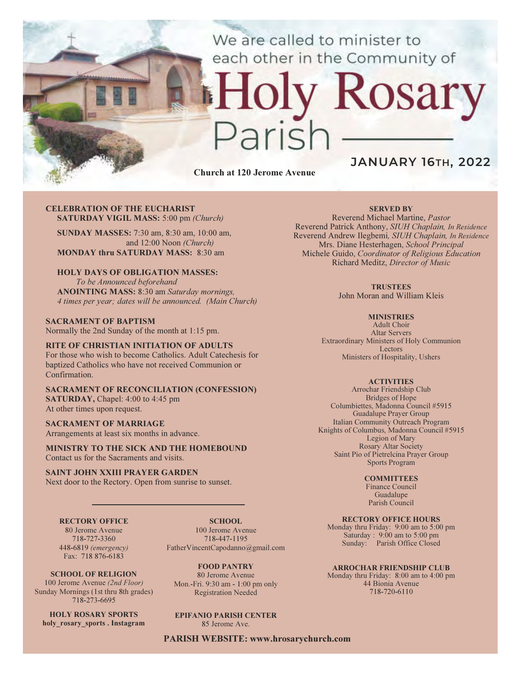We are called to minister to each other in the Community of

# y Rosary aris

Church at 120 Jerome Avenue

# JANUARY 16TH, 2022

#### CELEBRATION OF THE EUCHARIST SATURDAY VIGIL MASS: 5:00 pm (Church)

SUNDAY MASSES: 7:30 am, 8:30 am, 10:00 am, and 12:00 Noon (Church) MONDAY thru SATURDAY MASS: 8:30 am

# HOLY DAYS OF OBLIGATION MASSES:

To be Announced beforehand ANOINTING MASS: 8:30 am Saturday mornings, 4 times per year; dates will be announced. (Main Church)

#### SACRAMENT OF BAPTISM Normally the 2nd Sunday of the month at 1:15 pm.

#### RITE OF CHRISTIAN INITIATION OF ADULTS For those who wish to become Catholics. Adult Catechesis for

baptized Catholics who have not received Communion or Confirmation.

#### SACRAMENT OF RECONCILIATION (CONFESSION) SATURDAY, Chapel: 4:00 to 4:45 pm At other times upon request.

# SACRAMENT OF MARRIAGE

Arrangements at least six months in advance.

MINISTRY TO THE SICK AND THE HOMEBOUND Contact us for the Sacraments and visits.

#### SAINT JOHN XXIII PRAYER GARDEN

Next door to the Rectory. Open from sunrise to sunset.

#### RECTORY OFFICE

80 Jerome Avenue 718-727-3360 448-6819 (emergency) Fax: 718 876-6183

SCHOOL. 100 Jerome Avenue 718-447-1195 FatherVincentCapodanno@gmail.com

SCHOOL OF RELIGION 100 Jerome Avenue (2nd Floor) Sunday Mornings (1st thru 8th grades) 718-273-6695

HOLY ROSARY SPORTS holy rosary sports . Instagram

FOOD PANTRY 80 Jerome Avenue

Mon.-Fri. 9:30 am - 1:00 pm only Registration Needed

# EPIFANIO PARISH CENTER

85 Jerome Ave.

PARISH WEBSITE: www.hrosarychurch.com

### SERVED BY

Reverend Michael Martine, Pastor Reverend Patrick Anthony, SIUH Chaplain, In Residence Reverend Andrew Ilegbemi, SIUH Chaplain, In Residence Mrs. Diane Hesterhagen, School Principal Michele Guido, Coordinator of Religious Education Richard Meditz, Director of Music

#### **TRUSTEES**

John Moran and William Kleis

#### **MINISTRIES**

Adult Choir Altar Servers Extraordinary Ministers of Holy Communion Lectors Ministers of Hospitality, Ushers

#### **ACTIVITIES**

Arrochar Friendship Club Bridges of Hope Columbiettes, Madonna Council #5915 Guadalupe Prayer Group Italian Community Outreach Program Knights of Columbus, Madonna Council #5915 Legion of Mary Rosary Altar Society Saint Pio of Pietrelcina Prayer Group Sports Program

#### **COMMITTEES**

Finance Council Guadalupe Parish Council

## RECTORY OFFICE HOURS

Monday thru Friday: 9:00 am to 5:00 pm Saturday : 9:00 am to 5:00 pm Sunday: Parish Office Closed

#### ARROCHAR FRIENDSHIP CLUB

Monday thru Friday: 8:00 am to 4:00 pm 44 Bionia Avenue 718-720-6110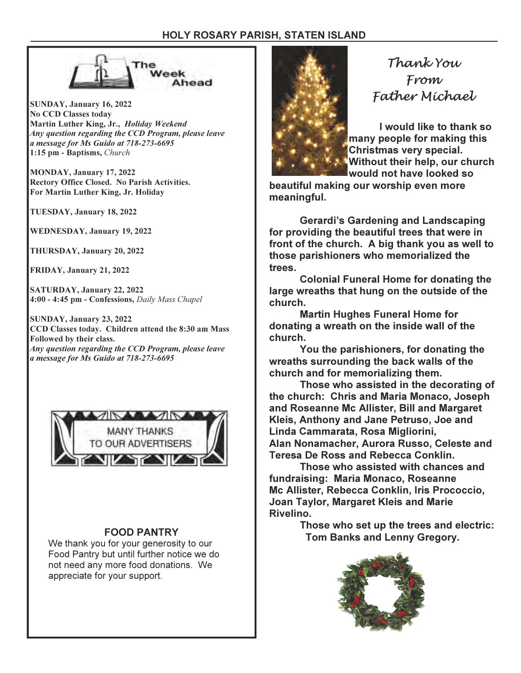

SUNDAY, January 16, 2022 No CCD Classes today Martin Luther King, Jr., Holiday Weekend Any question regarding the CCD Program, please leave a message for Ms Guido at 718-273-6695 1:15 pm - Baptisms, Church

MONDAY, January 17, 2022 Rectory Office Closed. No Parish Activities. For Martin Luther King, Jr. Holiday

TUESDAY, January 18, 2022

WEDNESDAY, January 19, 2022

THURSDAY, January 20, 2022

FRIDAY, January 21, 2022

SATURDAY, January 22, 2022 4:00 - 4:45 pm - Confessions, Daily Mass Chapel

SUNDAY, January 23, 2022 CCD Classes today. Children attend the 8:30 am Mass Followed by their class. Any question regarding the CCD Program, please leave a message for Ms Guido at 718-273-6695



We thank you for your generosity to our Food Pantry but until further notice we do not need any more food donations. We appreciate for your support.



Thank You From Father Michael

I would like to thank so many people for making this Christmas very special. Without their help, our church would not have looked so

beautiful making our worship even more meaningful.

 Gerardi's Gardening and Landscaping for providing the beautiful trees that were in front of the church. A big thank you as well to those parishioners who memorialized the trees.

 Colonial Funeral Home for donating the large wreaths that hung on the outside of the church.

 Martin Hughes Funeral Home for donating a wreath on the inside wall of the church.

 You the parishioners, for donating the wreaths surrounding the back walls of the church and for memorializing them.

 Those who assisted in the decorating of the church: Chris and Maria Monaco, Joseph and Roseanne Mc Allister, Bill and Margaret Kleis, Anthony and Jane Petruso, Joe and Linda Cammarata, Rosa Migliorini, Alan Nonamacher, Aurora Russo, Celeste and Teresa De Ross and Rebecca Conklin.

 Those who assisted with chances and fundraising: Maria Monaco, Roseanne Mc Allister, Rebecca Conklin, Iris Prococcio, Joan Taylor, Margaret Kleis and Marie Rivelino.

 Those who set up the trees and electric: FOOD PANTRY **FOOD PANTRY** Tom Banks and Lenny Gregory.

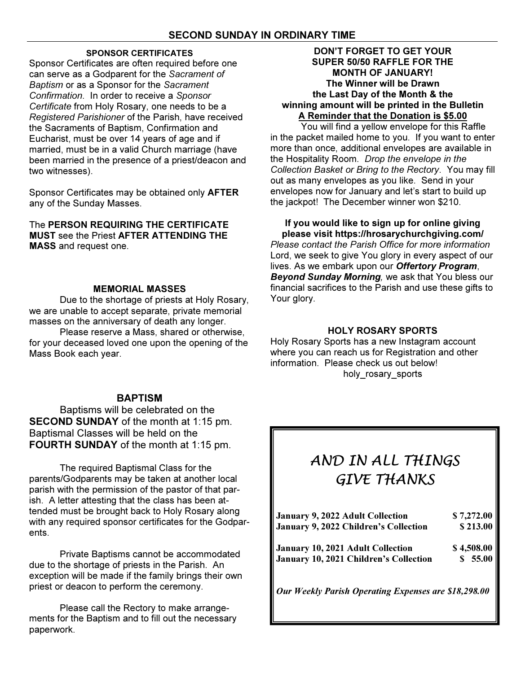# SPONSOR CERTIFICATES

Sponsor Certificates are often required before one can serve as a Godparent for the Sacrament of Baptism or as a Sponsor for the Sacrament Confirmation. In order to receive a Sponsor Certificate from Holy Rosary, one needs to be a Registered Parishioner of the Parish, have received the Sacraments of Baptism, Confirmation and Eucharist, must be over 14 years of age and if married, must be in a valid Church marriage (have been married in the presence of a priest/deacon and two witnesses).

Sponsor Certificates may be obtained only AFTER any of the Sunday Masses.

The PERSON REQUIRING THE CERTIFICATE MUST see the Priest AFTER ATTENDING THE MASS and request one.

# MEMORIAL MASSES

 Due to the shortage of priests at Holy Rosary, we are unable to accept separate, private memorial masses on the anniversary of death any longer.

 Please reserve a Mass, shared or otherwise, for your deceased loved one upon the opening of the Mass Book each year.

# **BAPTISM**

Baptisms will be celebrated on the SECOND SUNDAY of the month at 1:15 pm. Baptismal Classes will be held on the FOURTH SUNDAY of the month at 1:15 pm.

The required Baptismal Class for the parents/Godparents may be taken at another local parish with the permission of the pastor of that parish. A letter attesting that the class has been attended must be brought back to Holy Rosary along with any required sponsor certificates for the Godparents.

 Private Baptisms cannot be accommodated due to the shortage of priests in the Parish. An exception will be made if the family brings their own priest or deacon to perform the ceremony.

 Please call the Rectory to make arrangements for the Baptism and to fill out the necessary paperwork.

# DON'T FORGET TO GET YOUR SUPER 50/50 RAFFLE FOR THE MONTH OF JANUARY! The Winner will be Drawn the Last Day of the Month & the winning amount will be printed in the Bulletin A Reminder that the Donation is \$5.00

 You will find a yellow envelope for this Raffle in the packet mailed home to you. If you want to enter more than once, additional envelopes are available in the Hospitality Room. Drop the envelope in the Collection Basket or Bring to the Rectory. You may fill out as many envelopes as you like. Send in your envelopes now for January and let's start to build up the jackpot! The December winner won \$210.

# If you would like to sign up for online giving please visit https://hrosarychurchgiving.com/

Please contact the Parish Office for more information Lord, we seek to give You glory in every aspect of our lives. As we embark upon our Offertory Program, Beyond Sunday Morning, we ask that You bless our financial sacrifices to the Parish and use these gifts to Your glory.

# HOLY ROSARY SPORTS

Holy Rosary Sports has a new Instagram account where you can reach us for Registration and other information. Please check us out below! holy\_rosary\_sports

# AND IN ALL THINGS GIVE THANKS

| January 9, 2022 Adult Collection                     | \$7,272.00 |
|------------------------------------------------------|------------|
| January 9, 2022 Children's Collection                | \$213.00   |
| January 10, 2021 Adult Collection                    | \$4,508.00 |
| January 10, 2021 Children's Collection               | \$55.00    |
| Our Weekly Parish Operating Expenses are \$18,298.00 |            |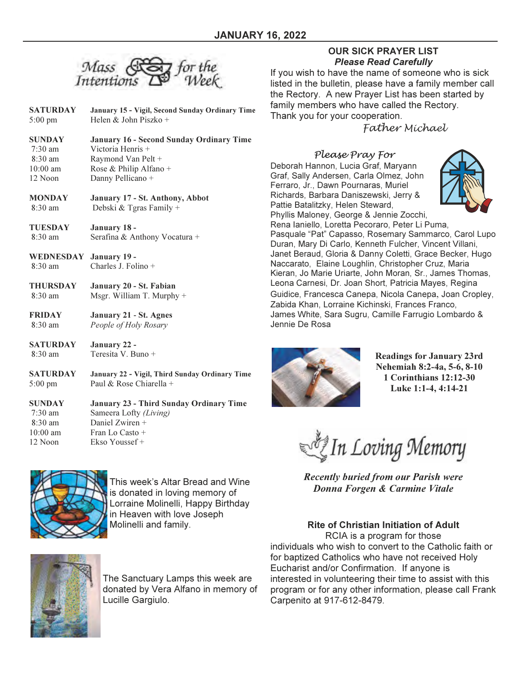

- SATURDAY January 15 Vigil, Second Sunday Ordinary Time 5:00 pm Helen & John Piszko +
- SUNDAY January 16 Second Sunday Ordinary Time<br>
7:30 am Victoria Henris + Victoria Henris + 8:30 am Raymond Van Pelt + 10:00 am Rose & Philip Alfano + 12 Noon Danny Pellicano +
- **MONDAY** January 17 St. Anthony, Abbot 8:30 am Debski & Tgras Family + Debski & Tgras Family +

TUESDAY January 18 - 8:30 am Serafina & Anthony Vocatura +

WEDNESDAY January 19 -<br>8:30 am Charles J. Fol Charles J. Folino  $+$ 

- THURSDAY January 20 St. Fabian 8:30 am Msgr. William T. Murphy +
- FRIDAY January 21 St. Agnes 8:30 am People of Holy Rosary

SATURDAY January 22 - 8:30 am Teresita V. Buno +

SATURDAY January 22 - Vigil, Third Sunday Ordinary Time 5:00 pm Paul & Rose Chiarella +

SUNDAY January 23 - Third Sunday Ordinary Time 7:30 am Sameera Lofty (Living) 8:30 am Daniel Zwiren + 10:00 am Fran Lo Casto + 12 Noon Ekso Youssef +



This week's Altar Bread and Wine is donated in loving memory of Lorraine Molinelli, Happy Birthday in Heaven with love Joseph Molinelli and family.



The Sanctuary Lamps this week are donated by Vera Alfano in memory of Lucille Gargiulo.

# OUR SICK PRAYER LIST Please Read Carefully

If you wish to have the name of someone who is sick listed in the bulletin, please have a family member call the Rectory. A new Prayer List has been started by family members who have called the Rectory. Thank you for your cooperation.

Father Michael

Please Pray For Deborah Hannon, Lucia Graf, Maryann Graf, Sally Andersen, Carla Olmez, John Ferraro, Jr., Dawn Pournaras, Muriel Richards, Barbara Daniszewski, Jerry & Pattie Batalitzky, Helen Steward, Phyllis Maloney, George & Jennie Zocchi,



Rena Ianiello, Loretta Pecoraro, Peter Li Puma, Pasquale "Pat" Capasso, Rosemary Sammarco, Carol Lupo Duran, Mary Di Carlo, Kenneth Fulcher, Vincent Villani, Janet Beraud, Gloria & Danny Coletti, Grace Becker, Hugo Naccarato, Elaine Loughlin, Christopher Cruz, Maria Kieran, Jo Marie Uriarte, John Moran, Sr., James Thomas, Leona Carnesi, Dr. Joan Short, Patricia Mayes, Regina Guidice, Francesca Canepa, Nicola Canepa, Joan Cropley, Zabida Khan, Lorraine Kichinski, Frances Franco, James White, Sara Sugru, Camille Farrugio Lombardo & Jennie De Rosa



Readings for January 23rd Nehemiah 8:2-4a, 5-6, 8-10 1 Corinthians 12:12-30 Luke 1:1-4, 4:14-21

In Loving Memory

Recently buried from our Parish were Donna Forgen & Carmine Vitale

Rite of Christian Initiation of Adult

RCIA is a program for those individuals who wish to convert to the Catholic faith or for baptized Catholics who have not received Holy Eucharist and/or Confirmation. If anyone is interested in volunteering their time to assist with this program or for any other information, please call Frank Carpenito at 917-612-8479.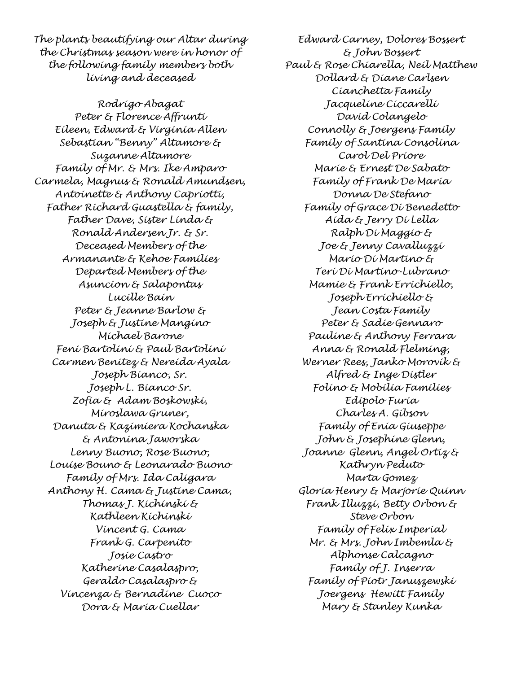The plants beautifying our Altar during the Christmas season were in honor of the following family members both living and deceased

Rodrigo Abagat Peter & Florence Affrunti Eileen, Edward & Virginia Allen Sebastian "Benny" Altamore & Suzanne Altamore Family of Mr. & Mrs. Ike Amparo Carmela, Magnus & Ronald Amundsen, Antoinette & Anthony Capriotti, Father Richard Guastella & family, Father Dave, Sister Linda & Ronald Andersen Jr. & Sr. Deceased Members of the Armanante & Kehoe Families Departed Members of the Asuncion & Salapontas Lucille Bain Peter & Jeanne Barlow & Joseph & Justine Mangino Michael Barone Feni Bartolini & Paul Bartolini Carmen Benitez & Nereida Ayala Joseph Bianco, Sr. Joseph L. Bianco Sr. Zofia & Adam Boskowski, Miroslawa Gruner, Danuta & Kazimiera Kochanska & Antonina Jaworska Lenny Buono, Rose Buono, Louise Bouno & Leonarado Buono Family of Mrs. Ida Caligara Anthony H. Cama & Justine Cama, Thomas J. Kichinski & Kathleen Kichinski Vincent G. Cama Frank G. Carpenito Josie Castro Katherine Casalaspro, Geraldo Casalaspro & Vincenza & Bernadine Cuoco Dora & Maria Cuellar

Edward Carney, Dolores Bossert & John Bossert Paul & Rose Chiarella, Neil Matthew Dollard & Diane Carlsen Cianchetta Family Jacqueline Ciccarelli David Colangelo Connolly & Joergens Family Family of Santina Consolina Carol Del Priore Marie & Ernest De Sabato Family of Frank De Maria Donna De Stefano Family of Grace Di Benedetto Aida & Jerry Di Lella Ralph Di Maggio & Joe & Jenny Cavalluzzi Mario Di Martino & Teri Di Martino-Lubrano Mamie & Frank Errichiello, Joseph Errichiello & Jean Costa Family Peter & Sadie Gennaro Pauline & Anthony Ferrara Anna & Ronald Flelming, Werner Rees, Janko Morovik & Alfred & Inge Distler Folino & Mobilia Families Edipolo Furia Charles A. Gibson Family of Enia Giuseppe John & Josephine Glenn, Joanne Glenn, Angel Ortiz & Kathryn Peduto Marta Gomez Gloria Henry & Marjorie Quinn Frank Illuzzi, Betty Orbon & Steve Orbon Family of Felix Imperial Mr. & Mrs. John Imbemla & Alphonse Calcagno Family of J. Inserra Family of Piotr Januszewski Joergens Hewitt Family Mary & Stanley Kunka